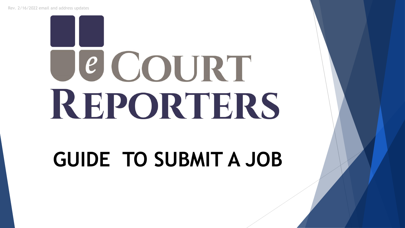# JE COURT REPORTERS

# **GUIDE TO SUBMIT A JOB**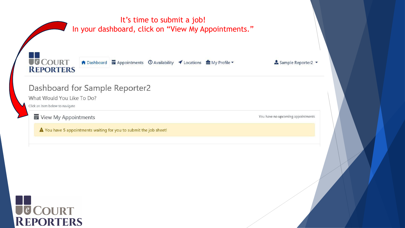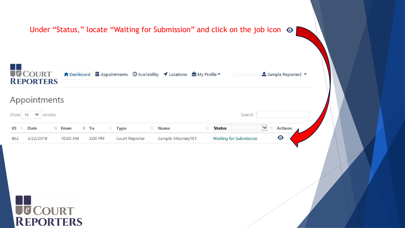|                                    |                              |                |                    | Under "Status," locate "Waiting for Submission" and click on the job icon $\odot$ |                              |  |
|------------------------------------|------------------------------|----------------|--------------------|-----------------------------------------------------------------------------------|------------------------------|--|
| <b>UCCOURT</b><br><b>REPORTERS</b> |                              |                |                    | <b>Recistiquier</b>                                                               | Sample Reporter2 -           |  |
| Appointments                       |                              |                |                    |                                                                                   |                              |  |
| Show 10 $\bullet$ entries          |                              |                |                    | Search:                                                                           |                              |  |
| ID <sup>1</sup> Date               | $11$ To<br>$\downarrow$ From | 11 Type        | 11 Name<br>11      | <b>Status</b>                                                                     | $\sqrt{1}$<br><b>Actions</b> |  |
| 3/22/2019                          | 10:00 AM<br>3:00 PM          | Court Reporter | Sample Attorney101 | <b>Waiting for Submission</b>                                                     | ◉                            |  |
|                                    |                              |                |                    |                                                                                   |                              |  |
|                                    |                              |                |                    |                                                                                   |                              |  |
|                                    |                              |                |                    |                                                                                   |                              |  |
|                                    |                              |                |                    |                                                                                   |                              |  |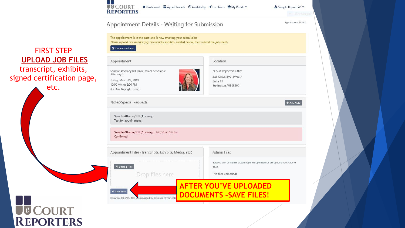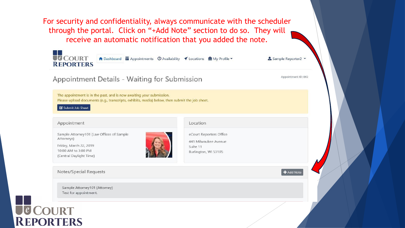For security and confidentiality, always communicate with the scheduler through the portal. Click on "+Add Note" section to do so. They will receive an automatic notification that you added the note.

| Appointment Details - Waiting for Submission                                                                                                                                               |                                                                                     | Appointment ID: 862 |
|--------------------------------------------------------------------------------------------------------------------------------------------------------------------------------------------|-------------------------------------------------------------------------------------|---------------------|
| The appointment is in the past, and is now awaiting your submission.<br>Please upload documents (e.g., transcripts, exhibits, media) below, then submit the job sheet.<br>Submit Job Sheet |                                                                                     |                     |
| Appointment                                                                                                                                                                                | Location                                                                            |                     |
| Sample Attorney101 (Law Offices of Sample<br>Attorneys)<br>Friday, March 22, 2019<br>10:00 AM to 3:00 PM<br>(Central Daylight Time)                                                        | eCourt Reporters Office<br>441 Milwaukee Avenue<br>Suite 11<br>Burlington, WI 53105 |                     |
| Notes/Special Requests                                                                                                                                                                     |                                                                                     | + Add Note          |
| Sample Attorney101 (Attorney)<br>Test for appointment.                                                                                                                                     |                                                                                     |                     |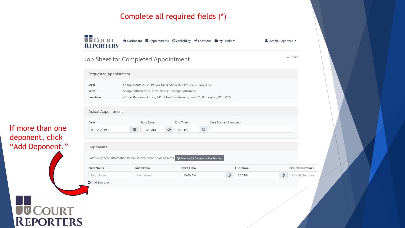#### Complete all required fields (\*)

**U**COURT ↑ Dashboard na Appointments © Availability *I* Locations A My Profile **REPORTERS** 

#### Job Sheet for Completed Appointment

**Requested Appointment** Date Friday, March 22, 2019 from 10:00 AM to 3:00 PM Central Daylight Time Sample Attorney101, Law Offices of Sample Attorneys With eCourt Reporters Office, 441 Milwaukee Avenue, Suite 11, Burlington, WI 53105 Location

#### If more than one deponent, click "Add Deponent."

**Actual Appointment** Date \* Start Time\* End Time\* Case Name / Number\*  $\odot$ 畐 03/22/2019 10:00 AM  $\circ$ 3:00 PM Deponents Enter deponent information below. If there were no deponents: Ø Remove All Deponents For This Job **First Name Last Name Start Time End Time Exhibit Numbers**  $\odot$  $\circ$ Exhibit Numbers 3:00 PM First Name Last Name 10:00 AM **O** Add Deponent **TE COURT<br>REPORTERS** 

Sample Reporter2 -

Job ID: 862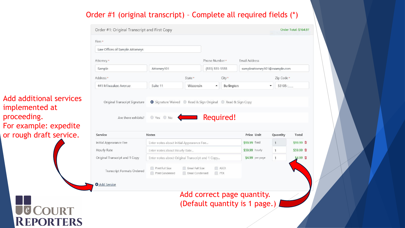## Order #1 (original transcript) – Complete all required fields (\*)

|                                           | Order #1: Original Transcript and First Copy |                                                              |                                    |                    |              |                               |                | Order Total: \$164.97 |
|-------------------------------------------|----------------------------------------------|--------------------------------------------------------------|------------------------------------|--------------------|--------------|-------------------------------|----------------|-----------------------|
|                                           | Firm *                                       |                                                              |                                    |                    |              |                               |                |                       |
|                                           | Law Offices of Sample Attorneys              |                                                              |                                    |                    |              |                               |                |                       |
|                                           | Attorney*                                    |                                                              |                                    | Phone Number*      |              | Email Address                 |                |                       |
|                                           | Sample                                       | Attorney101                                                  |                                    | $(555) 555 - 5555$ |              | sampleattorney101@example.com |                |                       |
|                                           | Address *                                    |                                                              | State *                            |                    | City *       |                               | Zip Code *     |                       |
|                                           | 441 Milwaukee Avenue                         | Suite 11                                                     | Wisconsin                          | $\blacktriangle$   | Burlington   |                               | 53105-         |                       |
| Add additional services<br>implemented at | Original Transcript Signature                | G Signature Waived C Read & Sign Original C Read & Sign Copy |                                    |                    |              |                               |                |                       |
| proceeding.<br>For example: expedite      | Are there exhibits?                          | $\circ$ Yes $\circ$ No                                       |                                    |                    | Required!    |                               |                |                       |
| or rough draft service.                   | <b>Service</b>                               | <b>Notes</b>                                                 |                                    |                    |              | Price Unit                    | Quantity       | Total                 |
|                                           | Initial Appearance Fee                       | Enter notes about Initial Appearance Fee                     |                                    |                    |              | \$99.99 fixed                 | $\mathbf{1}$   | \$99.99 Ⅲ             |
|                                           | Hourly Rate                                  | Enter notes about Hourly Rate                                |                                    |                    |              | \$59.99 hourly                | $\mathbf{1}$   | \$59.99 亩             |
|                                           | Original Transcript and 1 Copy               | Enter notes about Original Transcript and 1 Copy             |                                    |                    |              | \$4.99 per page               | $\overline{1}$ | \$4.99 面              |
|                                           | <b>Transcript Formats Ordered</b>            | Print Full Size<br>Print Condensed                           | Email Full Size<br>Email Condensed |                    | ASCII<br>PTX |                               |                |                       |
|                                           | <b>O</b> Add Service                         |                                                              |                                    |                    |              |                               |                |                       |
|                                           |                                              |                                                              |                                    |                    |              | Add correct page quantity.    |                |                       |
| JE COURT<br>REPORTERS                     |                                              |                                                              |                                    |                    |              | (Default quantity is 1 page.) |                |                       |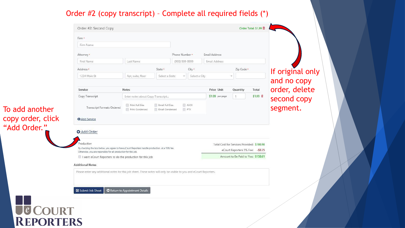## Order #2 (copy transcript) – Complete all required fields (\*)

|                 | Firm Name                                                                                                                                                        |                                    |                                    |                                |               |                 |                                            |          |                  |
|-----------------|------------------------------------------------------------------------------------------------------------------------------------------------------------------|------------------------------------|------------------------------------|--------------------------------|---------------|-----------------|--------------------------------------------|----------|------------------|
|                 | Attorney *                                                                                                                                                       |                                    |                                    | Phone Number*<br>Email Address |               |                 |                                            |          |                  |
|                 | First Name                                                                                                                                                       | Last Name                          |                                    | (999) 999-9999                 |               | Email Address   |                                            |          |                  |
|                 | Address *                                                                                                                                                        |                                    | State *                            |                                | City *        |                 | Zip Code *                                 |          | If original only |
|                 | 1234 Main St                                                                                                                                                     | Apt, suite, floor                  | Select a State                     | $\overline{\phantom{a}}$       | Select a City |                 |                                            |          | and no copy      |
|                 | Service                                                                                                                                                          | <b>Notes</b>                       |                                    |                                |               | Price Unit      | Quantity                                   | Total    | order, delete    |
|                 | Copy Transcript                                                                                                                                                  | Enter notes about Copy Transcript  |                                    |                                |               | \$1.99 per page | 4                                          | \$1.99 亩 | second copy      |
| add another     | <b>Transcript Formats Ordered</b>                                                                                                                                | Print Full Size<br>Print Condensed | Email Full Size<br>Email Condensed | ASCII<br>PTX                   |               |                 |                                            |          | segment.         |
| by order, click | <b>O</b> Add Service                                                                                                                                             |                                    |                                    |                                |               |                 |                                            |          |                  |
| dd Order."      | Add Order<br>roduction                                                                                                                                           |                                    |                                    |                                |               |                 | Total Cost for Services Provided: \$166.96 |          |                  |
|                 |                                                                                                                                                                  |                                    |                                    |                                |               |                 | eCourt Reporters 5% Fee: - \$8.35          |          |                  |
|                 | By checking the box below, you agree to have eCourt Reporters handle production, at a 15% fee.<br>Otherwise, you are reponsible for all production for this job. |                                    |                                    |                                |               |                 |                                            |          |                  |
|                 | I want eCourt Reporters to do the production for this job                                                                                                        |                                    |                                    |                                |               |                 | Amount to Be Paid to You: \$158.61         |          |                  |
|                 | <b>Additional Notes</b><br>Please enter any additional notes for this job sheet. These notes will only be visible to you and eCourt Reporters.                   |                                    |                                    |                                |               |                 |                                            |          |                  |
|                 |                                                                                                                                                                  |                                    |                                    |                                |               |                 |                                            |          |                  |
|                 |                                                                                                                                                                  |                                    |                                    |                                |               |                 |                                            |          |                  |
|                 | Submit Job Sheet                                                                                                                                                 | Return to Appointment Details      |                                    |                                |               |                 |                                            |          |                  |
|                 |                                                                                                                                                                  |                                    |                                    |                                |               |                 |                                            |          |                  |

To add another copy order, click "Add Order."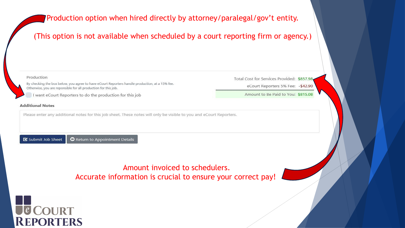## Production option when hired directly by attorney/paralegal/gov't entity.

#### (This option is not available when scheduled by a court reporting firm or agency.)



Submit Job Sheet Return to Appointment Details

## Amount invoiced to schedulers. Accurate information is crucial to ensure your correct pay!

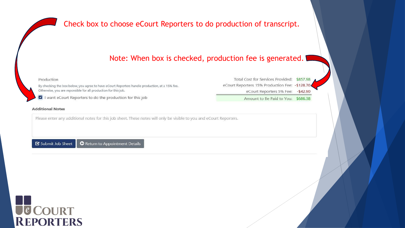Check box to choose eCourt Reporters to do production of transcript.

#### Note: When box is checked, production fee is generated.



Please enter any additional notes for this job sheet. These notes will only be visible to you and eCourt Reporters.

Submit Job Sheet Return to Appointment Details



Total Cost for Services Provided: \$857.98 eCourt Reporters 15% Production Fee: - \$128.70 eCourt Reporters 5% Fee: - \$42.90

Amount to Be Paid to You: \$686.38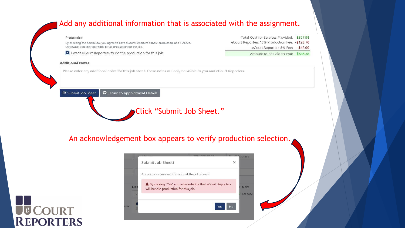#### Add any additional information that is associated with the assignment.

#### Production

By checking the box below, you agree to have eCourt Reporters handle production, at a 15% fee. Otherwise, you are reponsible for all production for this job.

I want eCourt Reporters to do the production for this job

#### **Additional Notes**

Total Cost for Services Provided: \$857.98 eCourt Reporters 15% Production Fee: - \$128.70 eCourt Reporters 5% Fee: - \$42.90

Amount to Be Paid to You: \$686.38

Please enter any additional notes for this job sheet. These notes will only be visible to you and eCourt Reporters.

Return to Appointment Details Submit Job Sheet

## Click "Submit Job Sheet."

#### An acknowledgement box appears to verify production selection.



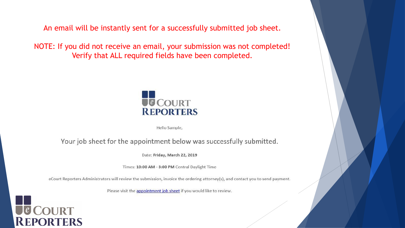An email will be instantly sent for a successfully submitted job sheet.

NOTE: If you did not receive an email, your submission was not completed! Verify that ALL required fields have been completed.



Hello Sample,

Your job sheet for the appointment below was successfully submitted.

Date: Friday, March 22, 2019

Times: 10:00 AM - 3:00 PM Central Daylight Time

eCourt Reporters Administrators will review the submission, invoice the ordering attorney(s), and contact you to send payment.

Please visit the appointment job sheet if you would like to review.

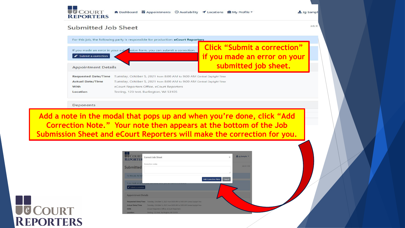

Lug Sample

Job ID

#### **Submitted Job Sheet**



#### Deponents

**Add a note in the modal that pops up and when you're done, click "Add Correction Note." Your note then appears at the bottom of the Job Submission Sheet and eCourt Reporters will make the correction for you.**

| <b>JU COURT</b><br><b>REPORTER</b>        | Correct Job Sheet                                                          | $\times$                             | Lug Sample       |
|-------------------------------------------|----------------------------------------------------------------------------|--------------------------------------|------------------|
|                                           | Correction notes                                                           |                                      | $\ln h$ $\Omega$ |
| Submitted                                 |                                                                            |                                      |                  |
| For this job, the fol                     |                                                                            |                                      |                  |
|                                           |                                                                            | <b>Add Correction Note</b><br>Cancel |                  |
|                                           | If you made an error in your submission form, you can submit a correction. |                                      |                  |
| $\blacktriangleright$ Submit a correction |                                                                            |                                      |                  |
| <b>Appointment Details</b>                |                                                                            |                                      |                  |
| <b>Requested Date/Time</b>                | Tuesday, October 5, 2021 from 8:00 AM to 9:00 AM Central Daylight Time     |                                      |                  |
| <b>Actual Date/Time</b>                   | Tuesday, October 5, 2021 from 8:00 AM to 9:00 AM Central Daylight Time     |                                      |                  |
| With                                      | eCourt Reporters Office, eCourt Reporters                                  |                                      |                  |
| Location                                  | Testing, 123 test, Burlington, WI 53105                                    |                                      |                  |

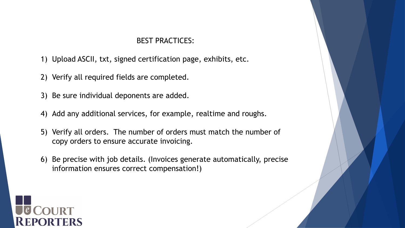#### BEST PRACTICES:

- 1) Upload ASCII, txt, signed certification page, exhibits, etc.
- 2) Verify all required fields are completed.
- 3) Be sure individual deponents are added.
- 4) Add any additional services, for example, realtime and roughs.
- 5) Verify all orders. The number of orders must match the number of copy orders to ensure accurate invoicing.
- 6) Be precise with job details. (Invoices generate automatically, precise information ensures correct compensation!)